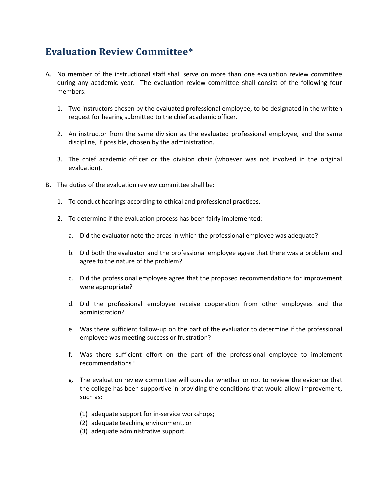## **Evaluation Review Committee\***

- A. No member of the instructional staff shall serve on more than one evaluation review committee during any academic year. The evaluation review committee shall consist of the following four members:
	- 1. Two instructors chosen by the evaluated professional employee, to be designated in the written request for hearing submitted to the chief academic officer.
	- 2. An instructor from the same division as the evaluated professional employee, and the same discipline, if possible, chosen by the administration.
	- 3. The chief academic officer or the division chair (whoever was not involved in the original evaluation).
- B. The duties of the evaluation review committee shall be:
	- 1. To conduct hearings according to ethical and professional practices.
	- 2. To determine if the evaluation process has been fairly implemented:
		- a. Did the evaluator note the areas in which the professional employee was adequate?
		- b. Did both the evaluator and the professional employee agree that there was a problem and agree to the nature of the problem?
		- c. Did the professional employee agree that the proposed recommendations for improvement were appropriate?
		- d. Did the professional employee receive cooperation from other employees and the administration?
		- e. Was there sufficient follow-up on the part of the evaluator to determine if the professional employee was meeting success or frustration?
		- f. Was there sufficient effort on the part of the professional employee to implement recommendations?
		- g. The evaluation review committee will consider whether or not to review the evidence that the college has been supportive in providing the conditions that would allow improvement, such as:
			- (1) adequate support for in-service workshops;
			- (2) adequate teaching environment, or
			- (3) adequate administrative support.